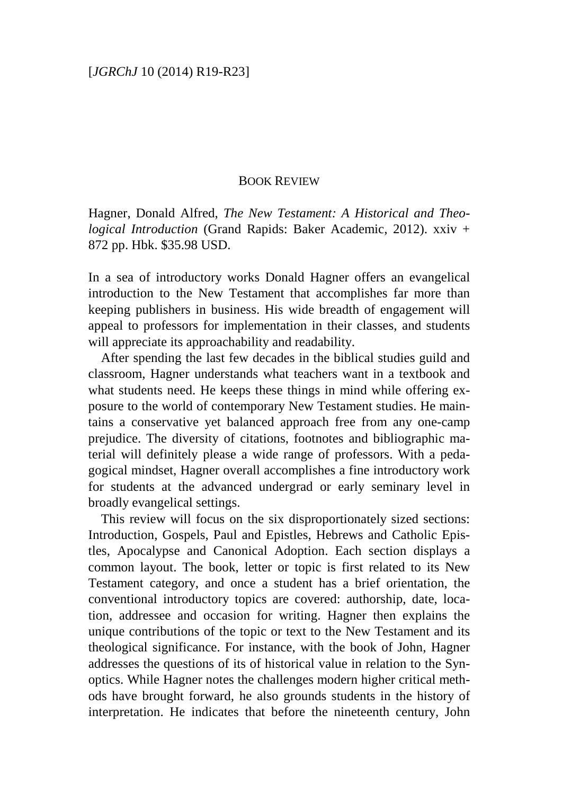## BOOK REVIEW

Hagner, Donald Alfred, *The New Testament: A Historical and Theological Introduction* (Grand Rapids: Baker Academic, 2012). xxiv + 872 pp. Hbk. \$35.98 USD.

In a sea of introductory works Donald Hagner offers an evangelical introduction to the New Testament that accomplishes far more than keeping publishers in business. His wide breadth of engagement will appeal to professors for implementation in their classes, and students will appreciate its approachability and readability.

After spending the last few decades in the biblical studies guild and classroom, Hagner understands what teachers want in a textbook and what students need. He keeps these things in mind while offering exposure to the world of contemporary New Testament studies. He maintains a conservative yet balanced approach free from any one-camp prejudice. The diversity of citations, footnotes and bibliographic material will definitely please a wide range of professors. With a pedagogical mindset, Hagner overall accomplishes a fine introductory work for students at the advanced undergrad or early seminary level in broadly evangelical settings.

This review will focus on the six disproportionately sized sections: Introduction, Gospels, Paul and Epistles, Hebrews and Catholic Epistles, Apocalypse and Canonical Adoption. Each section displays a common layout. The book, letter or topic is first related to its New Testament category, and once a student has a brief orientation, the conventional introductory topics are covered: authorship, date, location, addressee and occasion for writing. Hagner then explains the unique contributions of the topic or text to the New Testament and its theological significance. For instance, with the book of John, Hagner addresses the questions of its of historical value in relation to the Synoptics. While Hagner notes the challenges modern higher critical methods have brought forward, he also grounds students in the history of interpretation. He indicates that before the nineteenth century, John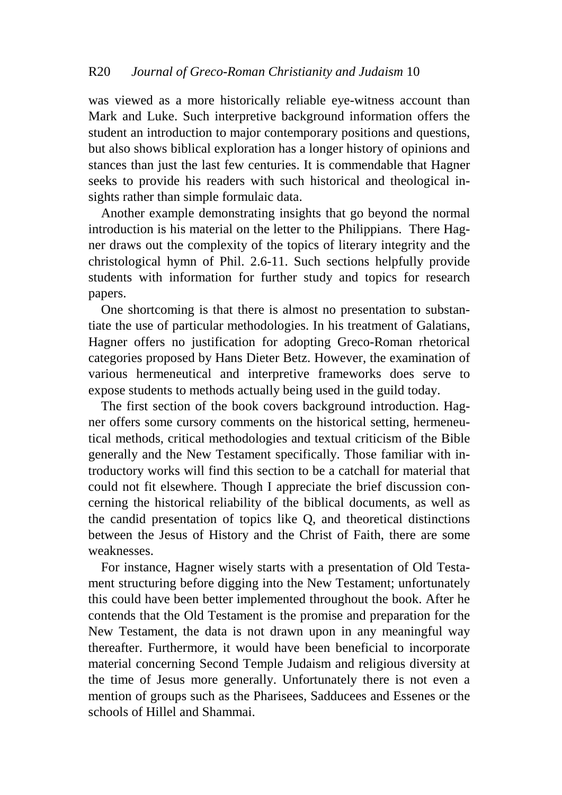was viewed as a more historically reliable eye-witness account than Mark and Luke. Such interpretive background information offers the student an introduction to major contemporary positions and questions, but also shows biblical exploration has a longer history of opinions and stances than just the last few centuries. It is commendable that Hagner seeks to provide his readers with such historical and theological insights rather than simple formulaic data.

Another example demonstrating insights that go beyond the normal introduction is his material on the letter to the Philippians. There Hagner draws out the complexity of the topics of literary integrity and the christological hymn of Phil. 2.6-11. Such sections helpfully provide students with information for further study and topics for research papers.

One shortcoming is that there is almost no presentation to substantiate the use of particular methodologies. In his treatment of Galatians, Hagner offers no justification for adopting Greco-Roman rhetorical categories proposed by Hans Dieter Betz. However, the examination of various hermeneutical and interpretive frameworks does serve to expose students to methods actually being used in the guild today.

The first section of the book covers background introduction. Hagner offers some cursory comments on the historical setting, hermeneutical methods, critical methodologies and textual criticism of the Bible generally and the New Testament specifically. Those familiar with introductory works will find this section to be a catchall for material that could not fit elsewhere. Though I appreciate the brief discussion concerning the historical reliability of the biblical documents, as well as the candid presentation of topics like Q, and theoretical distinctions between the Jesus of History and the Christ of Faith, there are some weaknesses.

For instance, Hagner wisely starts with a presentation of Old Testament structuring before digging into the New Testament; unfortunately this could have been better implemented throughout the book. After he contends that the Old Testament is the promise and preparation for the New Testament, the data is not drawn upon in any meaningful way thereafter. Furthermore, it would have been beneficial to incorporate material concerning Second Temple Judaism and religious diversity at the time of Jesus more generally. Unfortunately there is not even a mention of groups such as the Pharisees, Sadducees and Essenes or the schools of Hillel and Shammai.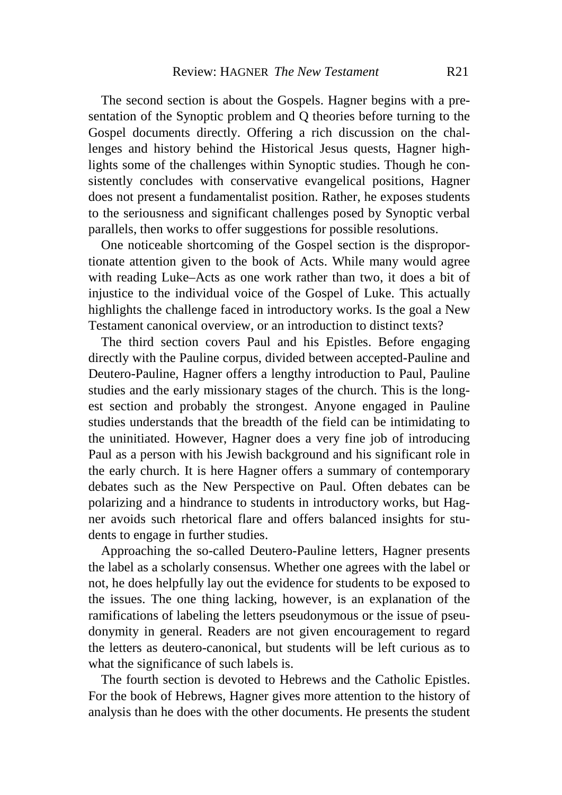The second section is about the Gospels. Hagner begins with a presentation of the Synoptic problem and Q theories before turning to the Gospel documents directly. Offering a rich discussion on the challenges and history behind the Historical Jesus quests, Hagner highlights some of the challenges within Synoptic studies. Though he consistently concludes with conservative evangelical positions, Hagner does not present a fundamentalist position. Rather, he exposes students to the seriousness and significant challenges posed by Synoptic verbal parallels, then works to offer suggestions for possible resolutions.

One noticeable shortcoming of the Gospel section is the disproportionate attention given to the book of Acts. While many would agree with reading Luke–Acts as one work rather than two, it does a bit of injustice to the individual voice of the Gospel of Luke. This actually highlights the challenge faced in introductory works. Is the goal a New Testament canonical overview, or an introduction to distinct texts?

The third section covers Paul and his Epistles. Before engaging directly with the Pauline corpus, divided between accepted-Pauline and Deutero-Pauline, Hagner offers a lengthy introduction to Paul, Pauline studies and the early missionary stages of the church. This is the longest section and probably the strongest. Anyone engaged in Pauline studies understands that the breadth of the field can be intimidating to the uninitiated. However, Hagner does a very fine job of introducing Paul as a person with his Jewish background and his significant role in the early church. It is here Hagner offers a summary of contemporary debates such as the New Perspective on Paul. Often debates can be polarizing and a hindrance to students in introductory works, but Hagner avoids such rhetorical flare and offers balanced insights for students to engage in further studies.

Approaching the so-called Deutero-Pauline letters, Hagner presents the label as a scholarly consensus. Whether one agrees with the label or not, he does helpfully lay out the evidence for students to be exposed to the issues. The one thing lacking, however, is an explanation of the ramifications of labeling the letters pseudonymous or the issue of pseudonymity in general. Readers are not given encouragement to regard the letters as deutero-canonical, but students will be left curious as to what the significance of such labels is.

The fourth section is devoted to Hebrews and the Catholic Epistles. For the book of Hebrews, Hagner gives more attention to the history of analysis than he does with the other documents. He presents the student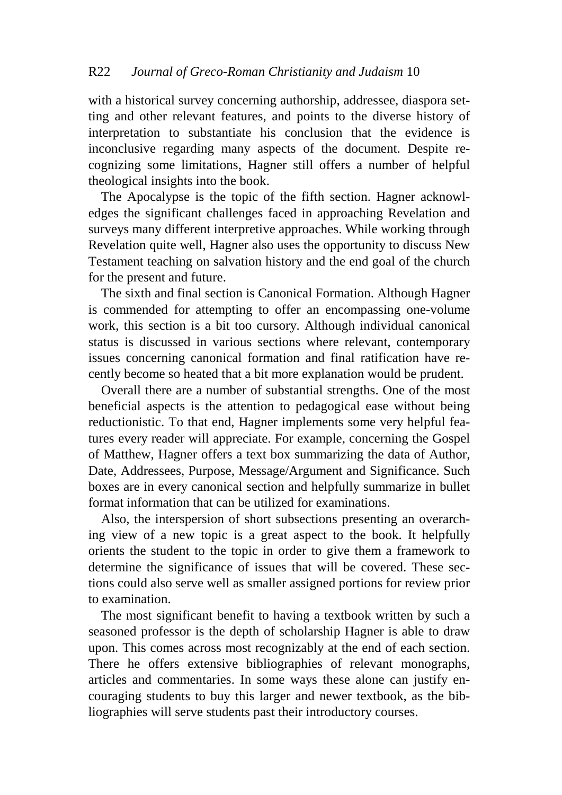with a historical survey concerning authorship, addressee, diaspora setting and other relevant features, and points to the diverse history of interpretation to substantiate his conclusion that the evidence is inconclusive regarding many aspects of the document. Despite recognizing some limitations, Hagner still offers a number of helpful theological insights into the book.

The Apocalypse is the topic of the fifth section. Hagner acknowledges the significant challenges faced in approaching Revelation and surveys many different interpretive approaches. While working through Revelation quite well, Hagner also uses the opportunity to discuss New Testament teaching on salvation history and the end goal of the church for the present and future.

The sixth and final section is Canonical Formation. Although Hagner is commended for attempting to offer an encompassing one-volume work, this section is a bit too cursory. Although individual canonical status is discussed in various sections where relevant, contemporary issues concerning canonical formation and final ratification have recently become so heated that a bit more explanation would be prudent.

Overall there are a number of substantial strengths. One of the most beneficial aspects is the attention to pedagogical ease without being reductionistic. To that end, Hagner implements some very helpful features every reader will appreciate. For example, concerning the Gospel of Matthew, Hagner offers a text box summarizing the data of Author, Date, Addressees, Purpose, Message/Argument and Significance. Such boxes are in every canonical section and helpfully summarize in bullet format information that can be utilized for examinations.

Also, the interspersion of short subsections presenting an overarching view of a new topic is a great aspect to the book. It helpfully orients the student to the topic in order to give them a framework to determine the significance of issues that will be covered. These sections could also serve well as smaller assigned portions for review prior to examination.

The most significant benefit to having a textbook written by such a seasoned professor is the depth of scholarship Hagner is able to draw upon. This comes across most recognizably at the end of each section. There he offers extensive bibliographies of relevant monographs, articles and commentaries. In some ways these alone can justify encouraging students to buy this larger and newer textbook, as the bibliographies will serve students past their introductory courses.